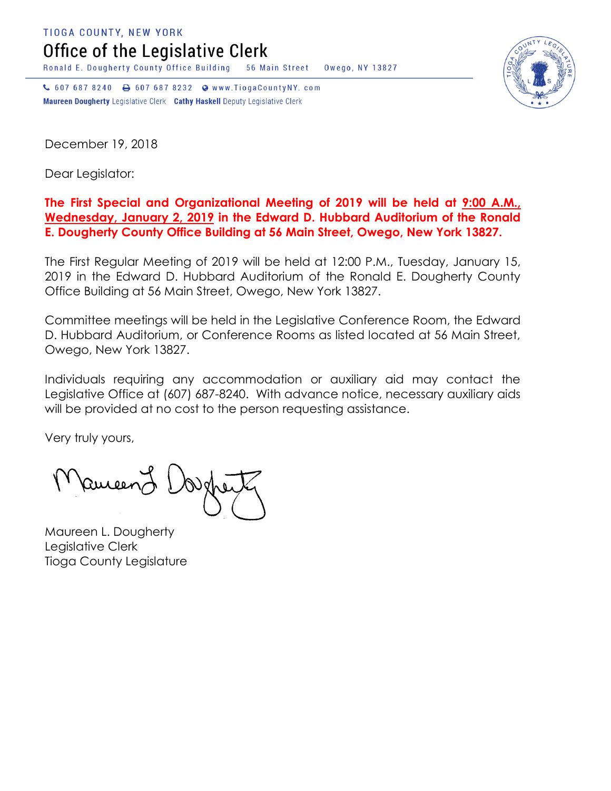**TIOGA COUNTY, NEW YORK** 

Office of the Legislative Clerk

Ronald E. Dougherty County Office Building 56 Main Street Owego, NY 13827

↓ 607 687 8240 → 607 687 8232 ● www.TiogaCountyNY.com Maureen Dougherty Legislative Clerk Cathy Haskell Deputy Legislative Clerk

December 19, 2018

Dear Legislator:

## **The First Special and Organizational Meeting of 2019 will be held at 9:00 A.M., Wednesday, January 2, 2019 in the Edward D. Hubbard Auditorium of the Ronald E. Dougherty County Office Building at 56 Main Street, Owego, New York 13827.**

The First Regular Meeting of 2019 will be held at 12:00 P.M., Tuesday, January 15, 2019 in the Edward D. Hubbard Auditorium of the Ronald E. Dougherty County Office Building at 56 Main Street, Owego, New York 13827.

Committee meetings will be held in the Legislative Conference Room, the Edward D. Hubbard Auditorium, or Conference Rooms as listed located at 56 Main Street, Owego, New York 13827.

Individuals requiring any accommodation or auxiliary aid may contact the Legislative Office at (607) 687-8240. With advance notice, necessary auxiliary aids will be provided at no cost to the person requesting assistance.

Very truly yours,

ameend

Maureen L. Dougherty Legislative Clerk Tioga County Legislature